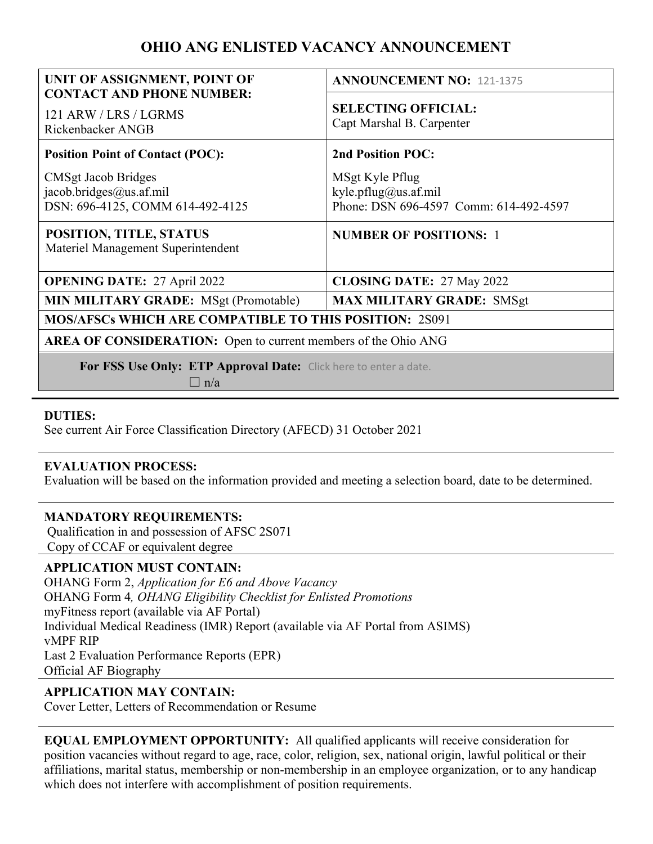# OHIO ANG ENLISTED VACANCY ANNOUNCEMENT

| UNIT OF ASSIGNMENT, POINT OF<br><b>CONTACT AND PHONE NUMBER:</b>                   | <b>ANNOUNCEMENT NO: 121-1375</b>                                                  |
|------------------------------------------------------------------------------------|-----------------------------------------------------------------------------------|
| 121 ARW / LRS / LGRMS<br>Rickenbacker ANGB                                         | <b>SELECTING OFFICIAL:</b><br>Capt Marshal B. Carpenter                           |
| <b>Position Point of Contact (POC):</b>                                            | <b>2nd Position POC:</b>                                                          |
| CMSgt Jacob Bridges<br>jacob.bridges@us.af.mil<br>DSN: 696-4125, COMM 614-492-4125 | MSgt Kyle Pflug<br>kyle.pflug@us.af.mil<br>Phone: DSN 696-4597 Comm: 614-492-4597 |
| POSITION, TITLE, STATUS<br>Materiel Management Superintendent                      | <b>NUMBER OF POSITIONS: 1</b>                                                     |
| <b>OPENING DATE: 27 April 2022</b>                                                 | <b>CLOSING DATE: 27 May 2022</b>                                                  |
| <b>MIN MILITARY GRADE:</b> MSgt (Promotable)                                       | <b>MAX MILITARY GRADE: SMSgt</b>                                                  |
| <b>MOS/AFSCs WHICH ARE COMPATIBLE TO THIS POSITION: 2S091</b>                      |                                                                                   |
| <b>AREA OF CONSIDERATION:</b> Open to current members of the Ohio ANG              |                                                                                   |
| For FSS Use Only: ETP Approval Date: Click here to enter a date.<br>$\Box$ n/a     |                                                                                   |

## DUTIES:

See current Air Force Classification Directory (AFECD) 31 October 2021

## EVALUATION PROCESS:

Evaluation will be based on the information provided and meeting a selection board, date to be determined.

#### MANDATORY REQUIREMENTS:

Qualification in and possession of AFSC 2S071 Copy of CCAF or equivalent degree

## APPLICATION MUST CONTAIN:

OHANG Form 2, Application for E6 and Above Vacancy OHANG Form 4*, OHANG Eligibility Checklist for Enlisted Promotions* myFitness report (available via AF Portal) Individual Medical Readiness (IMR) Report (available via AF Portal from ASIMS) vMPF RIP Last 2 Evaluation Performance Reports (EPR) Official AF Biography

#### APPLICATION MAY CONTAIN:

Cover Letter, Letters of Recommendation or Resume

EQUAL EMPLOYMENT OPPORTUNITY: All qualified applicants will receive consideration for position vacancies without regard to age, race, color, religion, sex, national origin, lawful political or their affiliations, marital status, membership or non-membership in an employee organization, or to any handicap which does not interfere with accomplishment of position requirements.